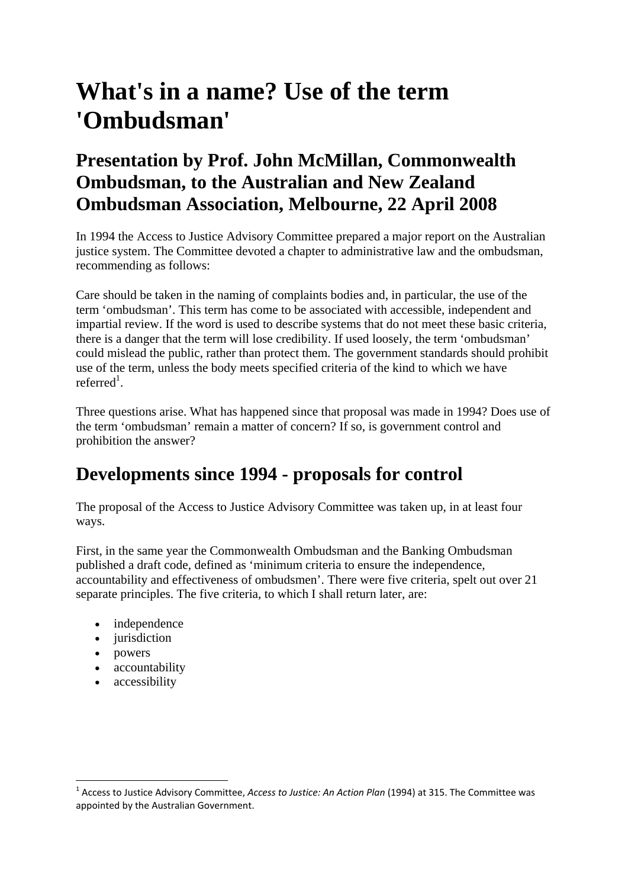# **What's in a name? Use of the term 'Ombudsman'**

### **Presentation by Prof. John McMillan, Commonwealth Ombudsman, to the Australian and New Zealand Ombudsman Association, Melbourne, 22 April 2008**

In 1994 the Access to Justice Advisory Committee prepared a major report on the Australian justice system. The Committee devoted a chapter to administrative law and the ombudsman, recommending as follows:

Care should be taken in the naming of complaints bodies and, in particular, the use of the term 'ombudsman'. This term has come to be associated with accessible, independent and impartial review. If the word is used to describe systems that do not meet these basic criteria, there is a danger that the term will lose credibility. If used loosely, the term 'ombudsman' could mislead the public, rather than protect them. The government standards should prohibit use of the term, unless the body meets specified criteria of the kind to which we have referred<sup>1</sup>.

Three questions arise. What has happened since that proposal was made in 1994? Does use of the term 'ombudsman' remain a matter of concern? If so, is government control and prohibition the answer?

### **Developments since 1994 - proposals for control**

The proposal of the Access to Justice Advisory Committee was taken up, in at least four ways.

First, in the same year the Commonwealth Ombudsman and the Banking Ombudsman published a draft code, defined as 'minimum criteria to ensure the independence, accountability and effectiveness of ombudsmen'. There were five criteria, spelt out over 21 separate principles. The five criteria, to which I shall return later, are:

- independence
- jurisdiction
- powers
- accountability

• accessibility

<sup>1</sup> Access to Justice Advisory Committee, *Access to Justice: An Action Plan* (1994) at 315. The Committee was appointed by the Australian Government.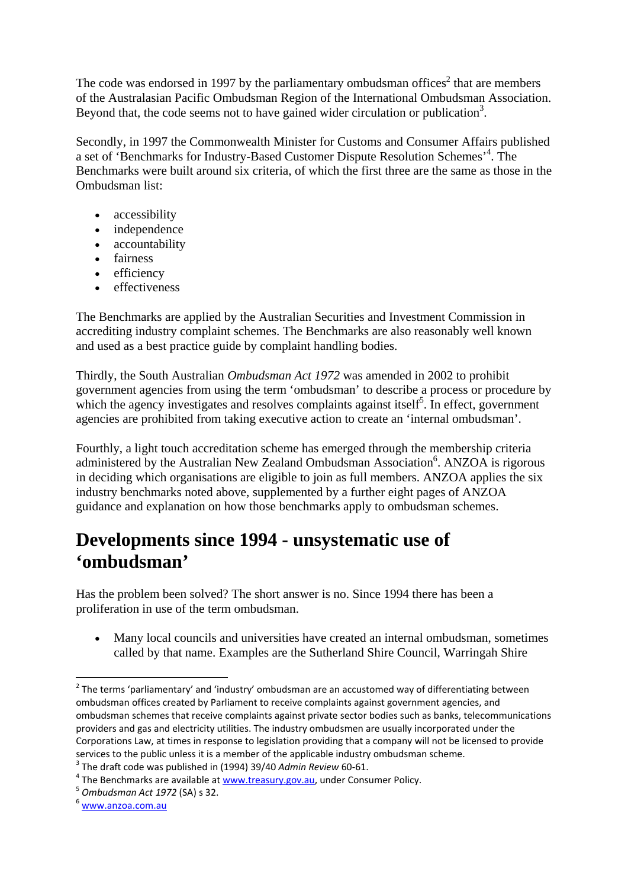The code was endorsed in 1997 by the parliamentary ombudsman offices<sup>2</sup> that are members of the Australasian Pacific Ombudsman Region of the International Ombudsman Association. Beyond that, the code seems not to have gained wider circulation or publication<sup>3</sup>.

Secondly, in 1997 the Commonwealth Minister for Customs and Consumer Affairs published a set of 'Benchmarks for Industry-Based Customer Dispute Resolution Schemes'<sup>4</sup> . The Benchmarks were built around six criteria, of which the first three are the same as those in the Ombudsman list:

- accessibility
- independence
- accountability
- fairness
- efficiency
- effectiveness

The Benchmarks are applied by the Australian Securities and Investment Commission in accrediting industry complaint schemes. The Benchmarks are also reasonably well known and used as a best practice guide by complaint handling bodies.

Thirdly, the South Australian *Ombudsman Act 1972* was amended in 2002 to prohibit government agencies from using the term 'ombudsman' to describe a process or procedure by which the agency investigates and resolves complaints against itself<sup>5</sup>. In effect, government agencies are prohibited from taking executive action to create an 'internal ombudsman'.

Fourthly, a light touch accreditation scheme has emerged through the membership criteria administered by the Australian New Zealand Ombudsman Association<sup>6</sup>. ANZOA is rigorous in deciding which organisations are eligible to join as full members. ANZOA applies the six industry benchmarks noted above, supplemented by a further eight pages of ANZOA guidance and explanation on how those benchmarks apply to ombudsman schemes.

#### **Developments since 1994 - unsystematic use of 'ombudsman'**

Has the problem been solved? The short answer is no. Since 1994 there has been a proliferation in use of the term ombudsman.

 Many local councils and universities have created an internal ombudsman, sometimes called by that name. Examples are the Sutherland Shire Council, Warringah Shire

 $^{2}$  The terms 'parliamentary' and 'industry' ombudsman are an accustomed way of differentiating between ombudsman offices created by Parliament to receive complaints against government agencies, and ombudsman schemes that receive complaints against private sector bodies such as banks, telecommunications providers and gas and electricity utilities. The industry ombudsmen are usually incorporated under the Corporations Law, at times in response to legislation providing that a company will not be licensed to provide services to the public unless it is a member of the applicable industry ombudsman scheme.<br>
<sup>3</sup> The draft code was published in (1994) 39/40 Admin Review 60-61.<br>
<sup>4</sup> The Benchmarks are available at <u>www.treasury.gov.au</u>, un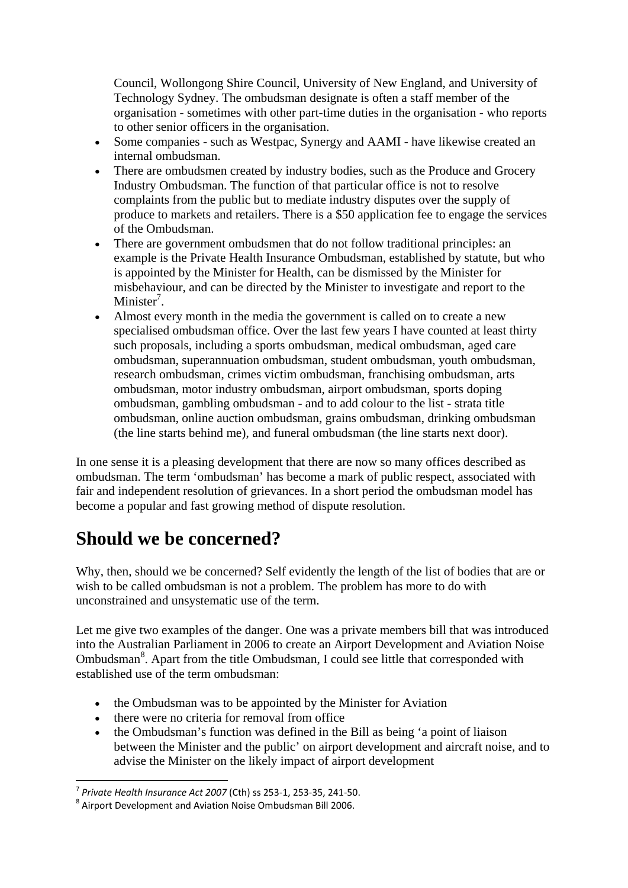Council, Wollongong Shire Council, University of New England, and University of Technology Sydney. The ombudsman designate is often a staff member of the organisation - sometimes with other part-time duties in the organisation - who reports to other senior officers in the organisation.

- Some companies such as Westpac, Synergy and AAMI have likewise created an internal ombudsman.
- There are ombudsmen created by industry bodies, such as the Produce and Grocery Industry Ombudsman. The function of that particular office is not to resolve complaints from the public but to mediate industry disputes over the supply of produce to markets and retailers. There is a \$50 application fee to engage the services of the Ombudsman.
- There are government ombudsmen that do not follow traditional principles: an example is the Private Health Insurance Ombudsman, established by statute, but who is appointed by the Minister for Health, can be dismissed by the Minister for misbehaviour, and can be directed by the Minister to investigate and report to the Minister<sup>7</sup>.
- Almost every month in the media the government is called on to create a new specialised ombudsman office. Over the last few years I have counted at least thirty such proposals, including a sports ombudsman, medical ombudsman, aged care ombudsman, superannuation ombudsman, student ombudsman, youth ombudsman, research ombudsman, crimes victim ombudsman, franchising ombudsman, arts ombudsman, motor industry ombudsman, airport ombudsman, sports doping ombudsman, gambling ombudsman - and to add colour to the list - strata title ombudsman, online auction ombudsman, grains ombudsman, drinking ombudsman (the line starts behind me), and funeral ombudsman (the line starts next door).

In one sense it is a pleasing development that there are now so many offices described as ombudsman. The term 'ombudsman' has become a mark of public respect, associated with fair and independent resolution of grievances. In a short period the ombudsman model has become a popular and fast growing method of dispute resolution.

#### **Should we be concerned?**

Why, then, should we be concerned? Self evidently the length of the list of bodies that are or wish to be called ombudsman is not a problem. The problem has more to do with unconstrained and unsystematic use of the term.

Let me give two examples of the danger. One was a private members bill that was introduced into the Australian Parliament in 2006 to create an Airport Development and Aviation Noise Ombudsman<sup>8</sup>. Apart from the title Ombudsman, I could see little that corresponded with established use of the term ombudsman:

- the Ombudsman was to be appointed by the Minister for Aviation
- there were no criteria for removal from office
- the Ombudsman's function was defined in the Bill as being 'a point of liaison between the Minister and the public' on airport development and aircraft noise, and to advise the Minister on the likely impact of airport development

 $7$  Private Health Insurance Act 2007 (Cth) ss 253-1, 253-35, 241-50.

<sup>&</sup>lt;sup>8</sup> Airport Development and Aviation Noise Ombudsman Bill 2006.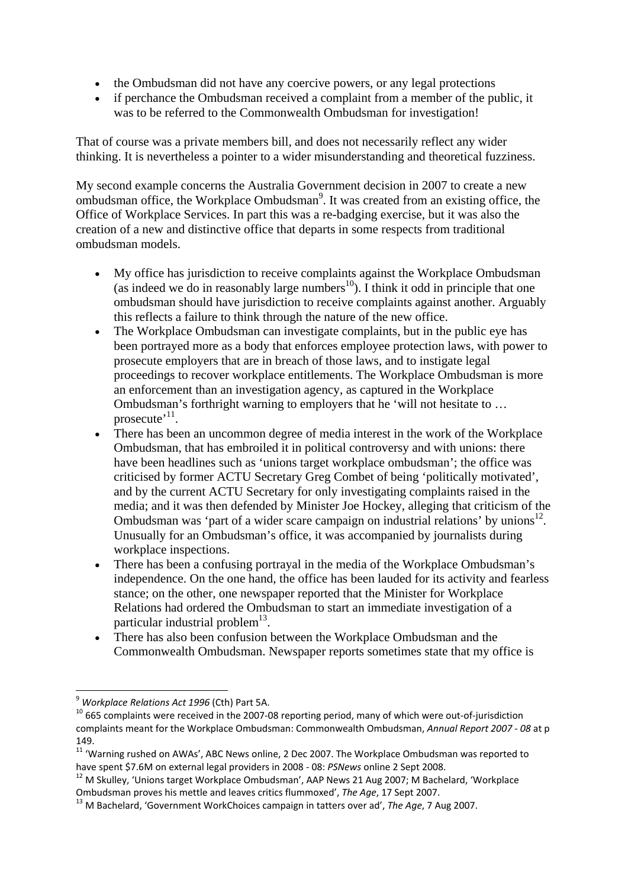- the Ombudsman did not have any coercive powers, or any legal protections
- if perchance the Ombudsman received a complaint from a member of the public, it was to be referred to the Commonwealth Ombudsman for investigation!

That of course was a private members bill, and does not necessarily reflect any wider thinking. It is nevertheless a pointer to a wider misunderstanding and theoretical fuzziness.

My second example concerns the Australia Government decision in 2007 to create a new ombudsman office, the Workplace Ombudsman<sup>9</sup>. It was created from an existing office, the Office of Workplace Services. In part this was a re-badging exercise, but it was also the creation of a new and distinctive office that departs in some respects from traditional ombudsman models.

- My office has jurisdiction to receive complaints against the Workplace Ombudsman (as indeed we do in reasonably large numbers<sup>10</sup>). I think it odd in principle that one ombudsman should have jurisdiction to receive complaints against another. Arguably this reflects a failure to think through the nature of the new office.
- The Workplace Ombudsman can investigate complaints, but in the public eye has been portrayed more as a body that enforces employee protection laws, with power to prosecute employers that are in breach of those laws, and to instigate legal proceedings to recover workplace entitlements. The Workplace Ombudsman is more an enforcement than an investigation agency, as captured in the Workplace Ombudsman's forthright warning to employers that he 'will not hesitate to … prosecute<sup> $11$ </sup>.
- There has been an uncommon degree of media interest in the work of the Workplace Ombudsman, that has embroiled it in political controversy and with unions: there have been headlines such as 'unions target workplace ombudsman'; the office was criticised by former ACTU Secretary Greg Combet of being 'politically motivated', and by the current ACTU Secretary for only investigating complaints raised in the media; and it was then defended by Minister Joe Hockey, alleging that criticism of the Ombudsman was 'part of a wider scare campaign on industrial relations' by unions<sup>12</sup>. Unusually for an Ombudsman's office, it was accompanied by journalists during workplace inspections.
- There has been a confusing portrayal in the media of the Workplace Ombudsman's independence. On the one hand, the office has been lauded for its activity and fearless stance; on the other, one newspaper reported that the Minister for Workplace Relations had ordered the Ombudsman to start an immediate investigation of a particular industrial problem $^{13}$ .
- There has also been confusion between the Workplace Ombudsman and the Commonwealth Ombudsman. Newspaper reports sometimes state that my office is

<sup>&</sup>lt;sup>9</sup> Workplace Relations Act 1996 (Cth) Part 5A.

<sup>&</sup>lt;sup>10</sup> 665 complaints were received in the 2007-08 reporting period, many of which were out-of-jurisdiction complaints meant for the Workplace Ombudsman: Commonwealth Ombudsman, *Annual Report 2007 ‐ 08* at p 149.

<sup>&</sup>lt;sup>11</sup> 'Warning rushed on AWAs', ABC News online, 2 Dec 2007. The Workplace Ombudsman was reported to

<sup>&</sup>lt;sup>12</sup> M Skulley, 'Unions target Workplace Ombudsman', AAP News 21 Aug 2007; M Bachelard, 'Workplace<br>Ombudsman proves his mettle and leaves critics flummoxed', The Age, 17 Sept 2007.

<sup>&</sup>lt;sup>13</sup> M Bachelard, 'Government WorkChoices campaign in tatters over ad', *The Age*, 7 Aug 2007.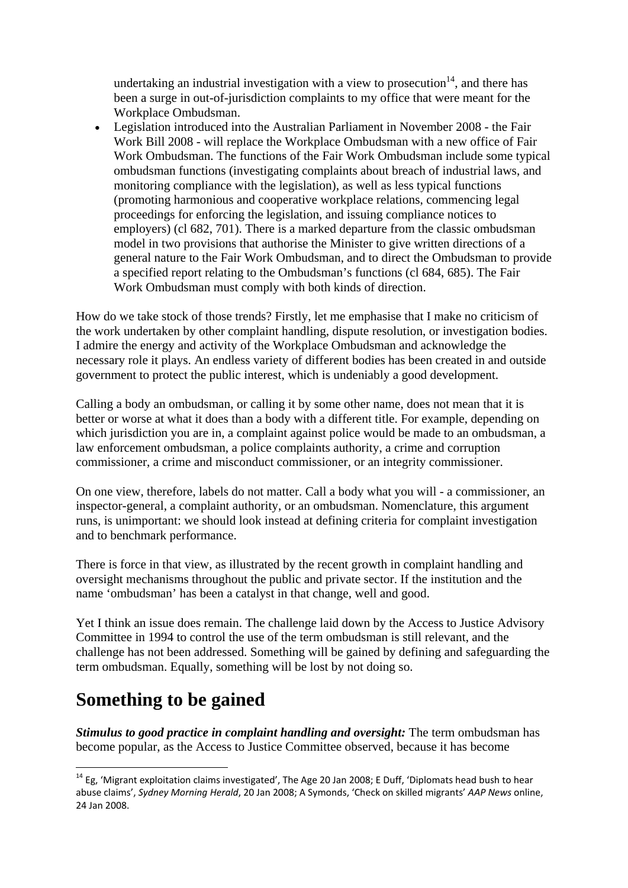undertaking an industrial investigation with a view to prosecution<sup>14</sup>, and there has been a surge in out-of-jurisdiction complaints to my office that were meant for the Workplace Ombudsman.

 Legislation introduced into the Australian Parliament in November 2008 - the Fair Work Bill 2008 - will replace the Workplace Ombudsman with a new office of Fair Work Ombudsman. The functions of the Fair Work Ombudsman include some typical ombudsman functions (investigating complaints about breach of industrial laws, and monitoring compliance with the legislation), as well as less typical functions (promoting harmonious and cooperative workplace relations, commencing legal proceedings for enforcing the legislation, and issuing compliance notices to employers) (cl 682, 701). There is a marked departure from the classic ombudsman model in two provisions that authorise the Minister to give written directions of a general nature to the Fair Work Ombudsman, and to direct the Ombudsman to provide a specified report relating to the Ombudsman's functions (cl 684, 685). The Fair Work Ombudsman must comply with both kinds of direction.

How do we take stock of those trends? Firstly, let me emphasise that I make no criticism of the work undertaken by other complaint handling, dispute resolution, or investigation bodies. I admire the energy and activity of the Workplace Ombudsman and acknowledge the necessary role it plays. An endless variety of different bodies has been created in and outside government to protect the public interest, which is undeniably a good development.

Calling a body an ombudsman, or calling it by some other name, does not mean that it is better or worse at what it does than a body with a different title. For example, depending on which jurisdiction you are in, a complaint against police would be made to an ombudsman, a law enforcement ombudsman, a police complaints authority, a crime and corruption commissioner, a crime and misconduct commissioner, or an integrity commissioner.

On one view, therefore, labels do not matter. Call a body what you will - a commissioner, an inspector-general, a complaint authority, or an ombudsman. Nomenclature, this argument runs, is unimportant: we should look instead at defining criteria for complaint investigation and to benchmark performance.

There is force in that view, as illustrated by the recent growth in complaint handling and oversight mechanisms throughout the public and private sector. If the institution and the name 'ombudsman' has been a catalyst in that change, well and good.

Yet I think an issue does remain. The challenge laid down by the Access to Justice Advisory Committee in 1994 to control the use of the term ombudsman is still relevant, and the challenge has not been addressed. Something will be gained by defining and safeguarding the term ombudsman. Equally, something will be lost by not doing so.

### **Something to be gained**

*Stimulus to good practice in complaint handling and oversight:* The term ombudsman has become popular, as the Access to Justice Committee observed, because it has become

 $14$  Eg, 'Migrant exploitation claims investigated', The Age 20 Jan 2008; E Duff, 'Diplomats head bush to hear abuse claims', *Sydney Morning Herald*, 20 Jan 2008; A Symonds, 'Check on skilled migrants' *AAP News* online, 24 Jan 2008.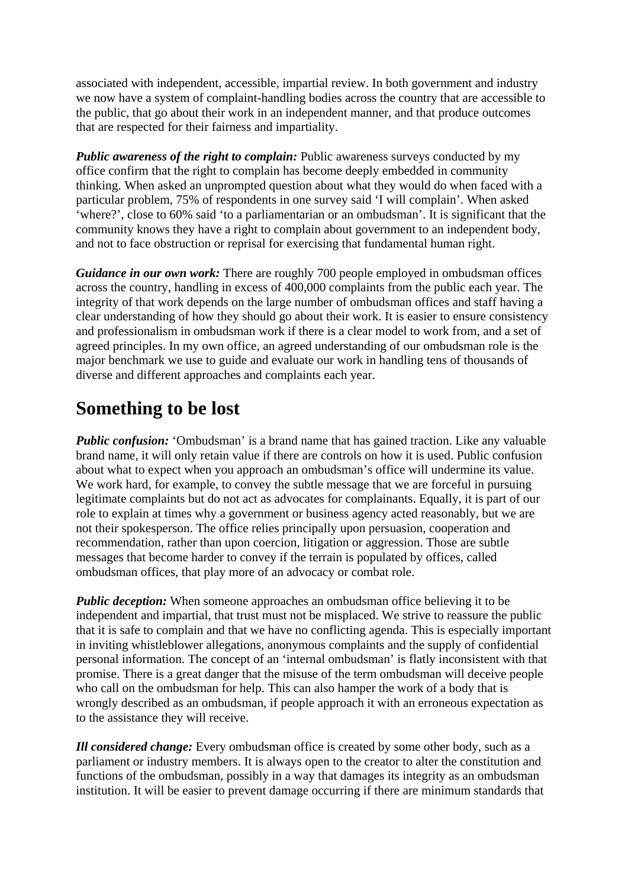associated with independent, accessible, impartial review. In both government and industry we now have a system of complaint-handling bodies across the country that are accessible to the public, that go about their work in an independent manner, and that produce outcomes that are respected for their fairness and impartiality.

*Public awareness of the right to complain:* Public awareness surveys conducted by my office confirm that the right to complain has become deeply embedded in community thinking. When asked an unprompted question about what they would do when faced with a particular problem, 75% of respondents in one survey said 'I will complain'. When asked 'where?', close to 60% said 'to a parliamentarian or an ombudsman'. It is significant that the community knows they have a right to complain about government to an independent body, and not to face obstruction or reprisal for exercising that fundamental human right.

*Guidance in our own work:* There are roughly 700 people employed in ombudsman offices across the country, handling in excess of 400,000 complaints from the public each year. The integrity of that work depends on the large number of ombudsman offices and staff having a clear understanding of how they should go about their work. It is easier to ensure consistency and professionalism in ombudsman work if there is a clear model to work from, and a set of agreed principles. In my own office, an agreed understanding of our ombudsman role is the major benchmark we use to guide and evaluate our work in handling tens of thousands of diverse and different approaches and complaints each year.

# **Something to be lost**

*Public confusion:* 'Ombudsman' is a brand name that has gained traction. Like any valuable brand name, it will only retain value if there are controls on how it is used. Public confusion about what to expect when you approach an ombudsman's office will undermine its value. We work hard, for example, to convey the subtle message that we are forceful in pursuing legitimate complaints but do not act as advocates for complainants. Equally, it is part of our role to explain at times why a government or business agency acted reasonably, but we are not their spokesperson. The office relies principally upon persuasion, cooperation and recommendation, rather than upon coercion, litigation or aggression. Those are subtle messages that become harder to convey if the terrain is populated by offices, called ombudsman offices, that play more of an advocacy or combat role.

*Public deception:* When someone approaches an ombudsman office believing it to be independent and impartial, that trust must not be misplaced. We strive to reassure the public that it is safe to complain and that we have no conflicting agenda. This is especially important in inviting whistleblower allegations, anonymous complaints and the supply of confidential personal information. The concept of an 'internal ombudsman' is flatly inconsistent with that promise. There is a great danger that the misuse of the term ombudsman will deceive people who call on the ombudsman for help. This can also hamper the work of a body that is wrongly described as an ombudsman, if people approach it with an erroneous expectation as to the assistance they will receive.

*Ill considered change:* Every ombudsman office is created by some other body, such as a parliament or industry members. It is always open to the creator to alter the constitution and functions of the ombudsman, possibly in a way that damages its integrity as an ombudsman institution. It will be easier to prevent damage occurring if there are minimum standards that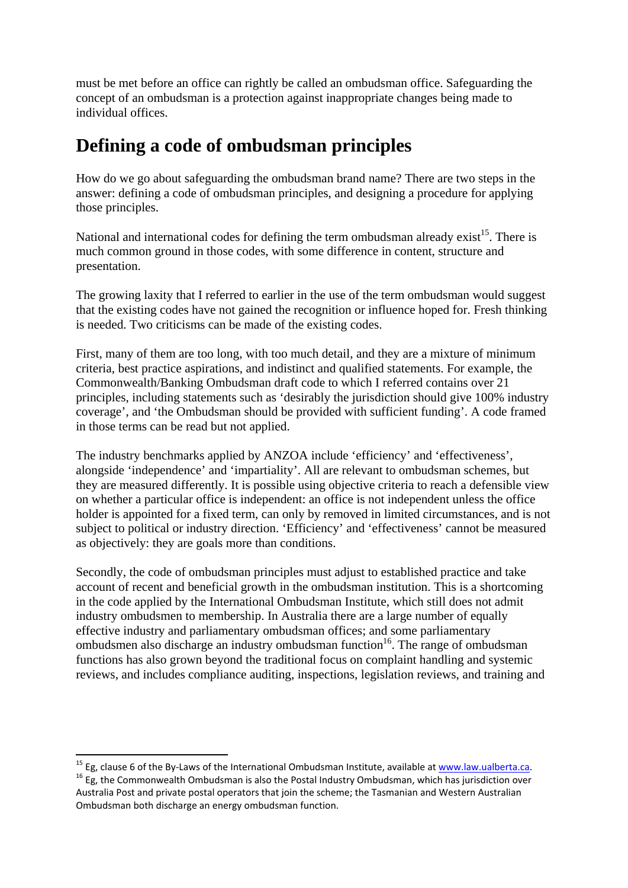must be met before an office can rightly be called an ombudsman office. Safeguarding the concept of an ombudsman is a protection against inappropriate changes being made to individual offices.

#### **Defining a code of ombudsman principles**

How do we go about safeguarding the ombudsman brand name? There are two steps in the answer: defining a code of ombudsman principles, and designing a procedure for applying those principles.

National and international codes for defining the term ombudsman already exist<sup>15</sup>. There is much common ground in those codes, with some difference in content, structure and presentation.

The growing laxity that I referred to earlier in the use of the term ombudsman would suggest that the existing codes have not gained the recognition or influence hoped for. Fresh thinking is needed. Two criticisms can be made of the existing codes.

First, many of them are too long, with too much detail, and they are a mixture of minimum criteria, best practice aspirations, and indistinct and qualified statements. For example, the Commonwealth/Banking Ombudsman draft code to which I referred contains over 21 principles, including statements such as 'desirably the jurisdiction should give 100% industry coverage', and 'the Ombudsman should be provided with sufficient funding'. A code framed in those terms can be read but not applied.

The industry benchmarks applied by ANZOA include 'efficiency' and 'effectiveness', alongside 'independence' and 'impartiality'. All are relevant to ombudsman schemes, but they are measured differently. It is possible using objective criteria to reach a defensible view on whether a particular office is independent: an office is not independent unless the office holder is appointed for a fixed term, can only by removed in limited circumstances, and is not subject to political or industry direction. 'Efficiency' and 'effectiveness' cannot be measured as objectively: they are goals more than conditions.

Secondly, the code of ombudsman principles must adjust to established practice and take account of recent and beneficial growth in the ombudsman institution. This is a shortcoming in the code applied by the International Ombudsman Institute, which still does not admit industry ombudsmen to membership. In Australia there are a large number of equally effective industry and parliamentary ombudsman offices; and some parliamentary ombudsmen also discharge an industry ombudsman function<sup>16</sup>. The range of ombudsman functions has also grown beyond the traditional focus on complaint handling and systemic reviews, and includes compliance auditing, inspections, legislation reviews, and training and

<sup>&</sup>lt;sup>15</sup> Eg, clause 6 of the By-Laws of the International Ombudsman Institute, available at www.law.ualberta.ca. 16 Eg, the Commonwealth Ombudsman is also the Postal Industry Ombudsman, which has jurisdiction over

Australia Post and private postal operators that join the scheme; the Tasmanian and Western Australian Ombudsman both discharge an energy ombudsman function.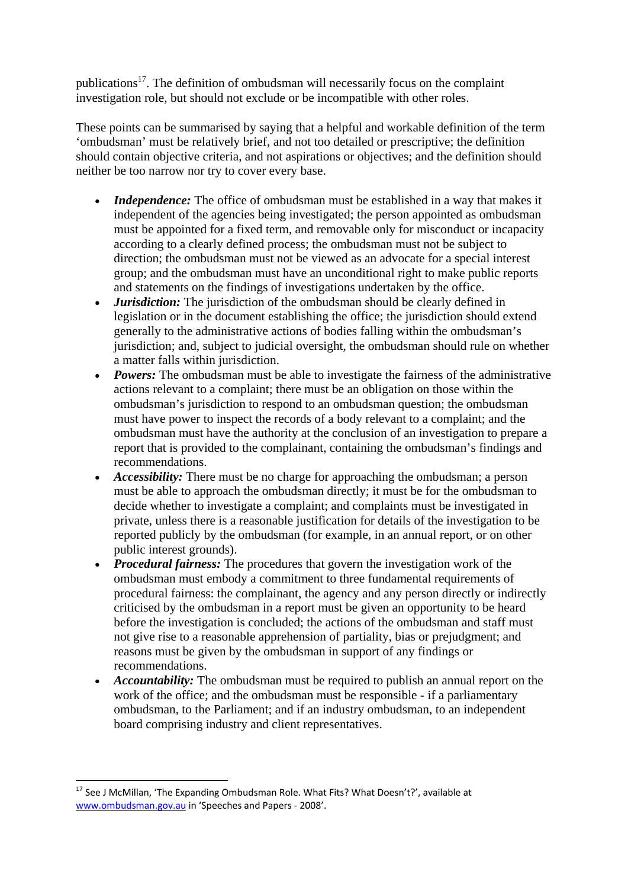publications17. The definition of ombudsman will necessarily focus on the complaint investigation role, but should not exclude or be incompatible with other roles.

These points can be summarised by saying that a helpful and workable definition of the term 'ombudsman' must be relatively brief, and not too detailed or prescriptive; the definition should contain objective criteria, and not aspirations or objectives; and the definition should neither be too narrow nor try to cover every base.

- *Independence:* The office of ombudsman must be established in a way that makes it independent of the agencies being investigated; the person appointed as ombudsman must be appointed for a fixed term, and removable only for misconduct or incapacity according to a clearly defined process; the ombudsman must not be subject to direction; the ombudsman must not be viewed as an advocate for a special interest group; and the ombudsman must have an unconditional right to make public reports and statements on the findings of investigations undertaken by the office.
- *Jurisdiction:* The jurisdiction of the ombudsman should be clearly defined in legislation or in the document establishing the office; the jurisdiction should extend generally to the administrative actions of bodies falling within the ombudsman's jurisdiction; and, subject to judicial oversight, the ombudsman should rule on whether a matter falls within jurisdiction.
- *Powers:* The ombudsman must be able to investigate the fairness of the administrative actions relevant to a complaint; there must be an obligation on those within the ombudsman's jurisdiction to respond to an ombudsman question; the ombudsman must have power to inspect the records of a body relevant to a complaint; and the ombudsman must have the authority at the conclusion of an investigation to prepare a report that is provided to the complainant, containing the ombudsman's findings and recommendations.
- *Accessibility:* There must be no charge for approaching the ombudsman; a person must be able to approach the ombudsman directly; it must be for the ombudsman to decide whether to investigate a complaint; and complaints must be investigated in private, unless there is a reasonable justification for details of the investigation to be reported publicly by the ombudsman (for example, in an annual report, or on other public interest grounds).
- *Procedural fairness:* The procedures that govern the investigation work of the ombudsman must embody a commitment to three fundamental requirements of procedural fairness: the complainant, the agency and any person directly or indirectly criticised by the ombudsman in a report must be given an opportunity to be heard before the investigation is concluded; the actions of the ombudsman and staff must not give rise to a reasonable apprehension of partiality, bias or prejudgment; and reasons must be given by the ombudsman in support of any findings or recommendations.
- *Accountability:* The ombudsman must be required to publish an annual report on the work of the office; and the ombudsman must be responsible - if a parliamentary ombudsman, to the Parliament; and if an industry ombudsman, to an independent board comprising industry and client representatives.

<sup>&</sup>lt;sup>17</sup> See J McMillan, 'The Expanding Ombudsman Role. What Fits? What Doesn't?', available at www.ombudsman.gov.au in 'Speeches and Papers ‐ 2008'.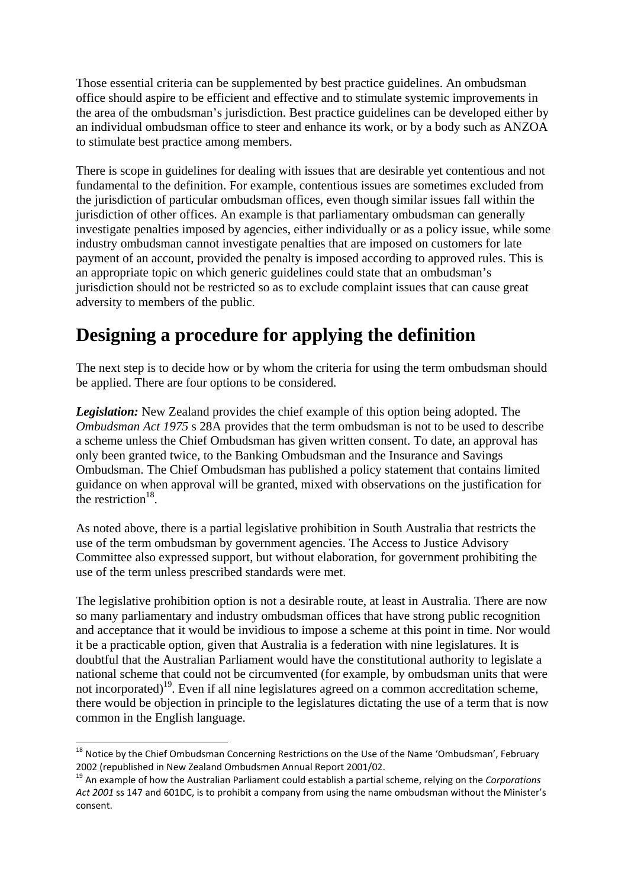Those essential criteria can be supplemented by best practice guidelines. An ombudsman office should aspire to be efficient and effective and to stimulate systemic improvements in the area of the ombudsman's jurisdiction. Best practice guidelines can be developed either by an individual ombudsman office to steer and enhance its work, or by a body such as ANZOA to stimulate best practice among members.

There is scope in guidelines for dealing with issues that are desirable yet contentious and not fundamental to the definition. For example, contentious issues are sometimes excluded from the jurisdiction of particular ombudsman offices, even though similar issues fall within the jurisdiction of other offices. An example is that parliamentary ombudsman can generally investigate penalties imposed by agencies, either individually or as a policy issue, while some industry ombudsman cannot investigate penalties that are imposed on customers for late payment of an account, provided the penalty is imposed according to approved rules. This is an appropriate topic on which generic guidelines could state that an ombudsman's jurisdiction should not be restricted so as to exclude complaint issues that can cause great adversity to members of the public.

# **Designing a procedure for applying the definition**

The next step is to decide how or by whom the criteria for using the term ombudsman should be applied. There are four options to be considered.

*Legislation:* New Zealand provides the chief example of this option being adopted. The *Ombudsman Act 1975* s 28A provides that the term ombudsman is not to be used to describe a scheme unless the Chief Ombudsman has given written consent. To date, an approval has only been granted twice, to the Banking Ombudsman and the Insurance and Savings Ombudsman. The Chief Ombudsman has published a policy statement that contains limited guidance on when approval will be granted, mixed with observations on the justification for the restriction $18$ .

As noted above, there is a partial legislative prohibition in South Australia that restricts the use of the term ombudsman by government agencies. The Access to Justice Advisory Committee also expressed support, but without elaboration, for government prohibiting the use of the term unless prescribed standards were met.

The legislative prohibition option is not a desirable route, at least in Australia. There are now so many parliamentary and industry ombudsman offices that have strong public recognition and acceptance that it would be invidious to impose a scheme at this point in time. Nor would it be a practicable option, given that Australia is a federation with nine legislatures. It is doubtful that the Australian Parliament would have the constitutional authority to legislate a national scheme that could not be circumvented (for example, by ombudsman units that were not incorporated)<sup>19</sup>. Even if all nine legislatures agreed on a common accreditation scheme, there would be objection in principle to the legislatures dictating the use of a term that is now common in the English language.

<sup>&</sup>lt;sup>18</sup> Notice by the Chief Ombudsman Concerning Restrictions on the Use of the Name 'Ombudsman', February 2002 (republished in New Zealand Ombudsmen Annual Report 2001/02.<br><sup>19</sup> An example of how the Australian Parliament could establish a partial scheme, relying on the *Corporations* 

*Act 2001* ss 147 and 601DC, is to prohibit a company from using the name ombudsman without the Minister's consent.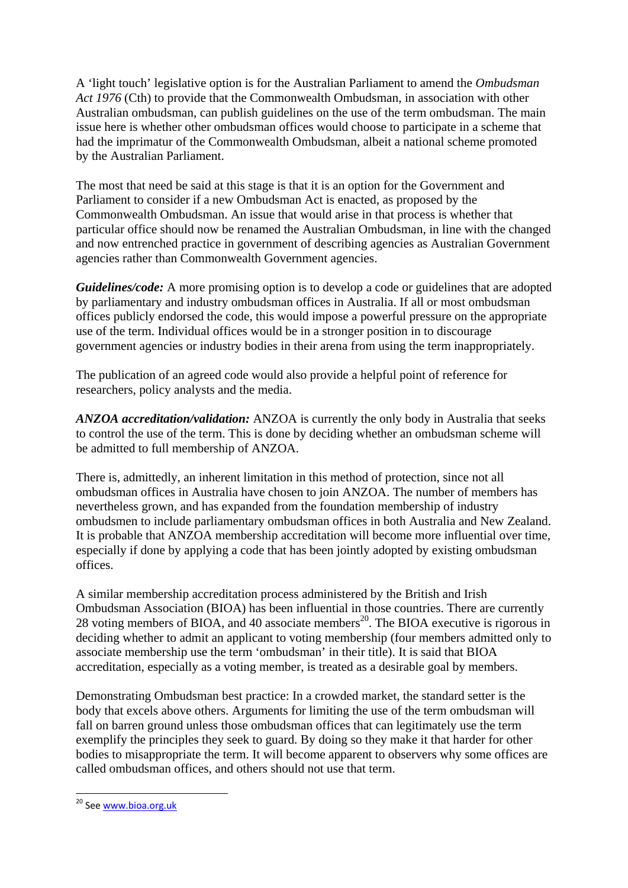A 'light touch' legislative option is for the Australian Parliament to amend the *Ombudsman Act 1976* (Cth) to provide that the Commonwealth Ombudsman, in association with other Australian ombudsman, can publish guidelines on the use of the term ombudsman. The main issue here is whether other ombudsman offices would choose to participate in a scheme that had the imprimatur of the Commonwealth Ombudsman, albeit a national scheme promoted by the Australian Parliament.

The most that need be said at this stage is that it is an option for the Government and Parliament to consider if a new Ombudsman Act is enacted, as proposed by the Commonwealth Ombudsman. An issue that would arise in that process is whether that particular office should now be renamed the Australian Ombudsman, in line with the changed and now entrenched practice in government of describing agencies as Australian Government agencies rather than Commonwealth Government agencies.

*Guidelines/code:* A more promising option is to develop a code or guidelines that are adopted by parliamentary and industry ombudsman offices in Australia. If all or most ombudsman offices publicly endorsed the code, this would impose a powerful pressure on the appropriate use of the term. Individual offices would be in a stronger position in to discourage government agencies or industry bodies in their arena from using the term inappropriately.

The publication of an agreed code would also provide a helpful point of reference for researchers, policy analysts and the media.

*ANZOA accreditation/validation:* ANZOA is currently the only body in Australia that seeks to control the use of the term. This is done by deciding whether an ombudsman scheme will be admitted to full membership of ANZOA.

There is, admittedly, an inherent limitation in this method of protection, since not all ombudsman offices in Australia have chosen to join ANZOA. The number of members has nevertheless grown, and has expanded from the foundation membership of industry ombudsmen to include parliamentary ombudsman offices in both Australia and New Zealand. It is probable that ANZOA membership accreditation will become more influential over time, especially if done by applying a code that has been jointly adopted by existing ombudsman offices.

A similar membership accreditation process administered by the British and Irish Ombudsman Association (BIOA) has been influential in those countries. There are currently 28 voting members of BIOA, and 40 associate members<sup>20</sup>. The BIOA executive is rigorous in deciding whether to admit an applicant to voting membership (four members admitted only to associate membership use the term 'ombudsman' in their title). It is said that BIOA accreditation, especially as a voting member, is treated as a desirable goal by members.

Demonstrating Ombudsman best practice: In a crowded market, the standard setter is the body that excels above others. Arguments for limiting the use of the term ombudsman will fall on barren ground unless those ombudsman offices that can legitimately use the term exemplify the principles they seek to guard. By doing so they make it that harder for other bodies to misappropriate the term. It will become apparent to observers why some offices are called ombudsman offices, and others should not use that term.

<sup>&</sup>lt;sup>20</sup> See www.bioa.org.uk